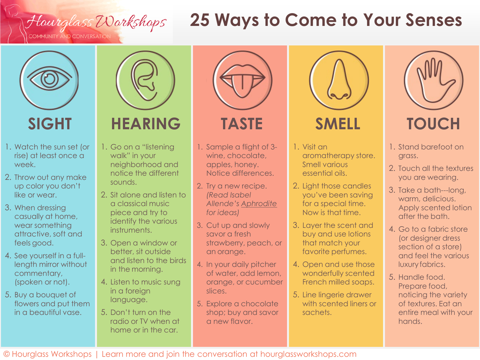#### Hourglass Workshops **COMMUNITY AND CONVERSATION**

## **25 Ways to Come to Your Senses**



**SIGHT**

- 1. Watch the sun set (or rise) at least once a week.
- 2. Throw out any make up color you don't like or wear.
- 3. When dressing casually at home, wear something attractive, soft and feels good.
- 4. See yourself in a fulllength mirror without commentary, (spoken or not).
- 5. Buy a bouquet of flowers and put them in a beautiful vase.



- 1. Go on a "listening walk" in your neighborhood and notice the different sounds.
- 2. Sit alone and listen to a classical music piece and try to identify the various instruments.
- 3. Open a window or better, sit outside and listen to the birds in the morning.
- 4. Listen to music sung in a foreign language.
- 5. Don't turn on the radio or TV when at home or in the car.



### **TASTE**

- 1. Sample a flight of 3 wine, chocolate, apples, honey. Notice differences.
- 2. Try a new recipe. *(Read Isabel Allende's Aphrodite for ideas)*
- 3. Cut up and slowly savor a fresh strawberry, peach, or an orange.
- 4. In your daily pitcher of water, add lemon, orange, or cucumber slices.
- 5. Explore a chocolate shop; buy and savor a new flavor.



- 1. Visit an aromatherapy store. Smell various essential oils.
- 2. Light those candles you've been saving for a special time. Now is that time.
- 3. Layer the scent and buy and use lotions that match your favorite perfumes.
- 4. Open and use those wonderfully scented French milled soaps.
- 5. Line lingerie drawer with scented liners or sachets.



- 1. Stand barefoot on grass.
- 2. Touch all the textures you are wearing.
- 3. Take a bath---long, warm, delicious. Apply scented lotion after the bath.
- 4. Go to a fabric store (or designer dress section of a store) and feel the various luxury fabrics.
- 5. Handle food. Prepare food, noticing the variety of textures. Eat an entire meal with your hands.

© Hourglass Workshops | Learn more and join the conversation at hourglassworkshops.com